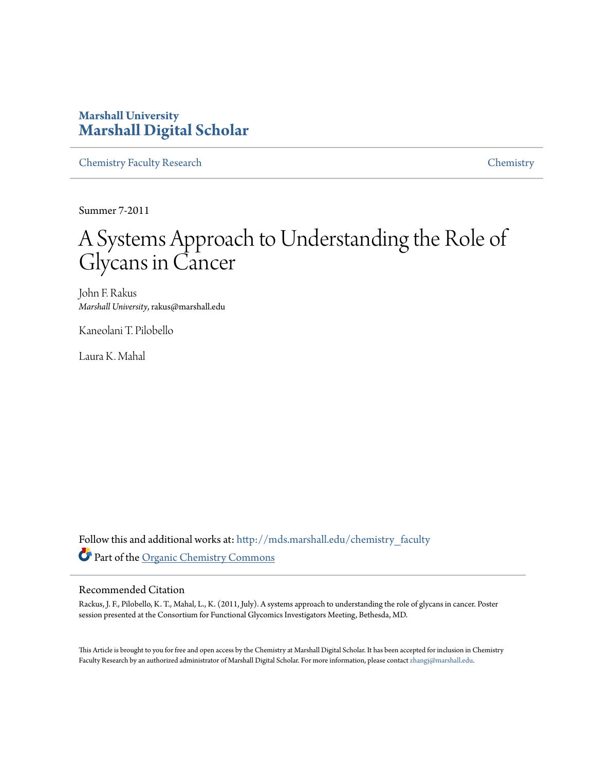#### **Marshall University [Marshall Digital Scholar](http://mds.marshall.edu?utm_source=mds.marshall.edu%2Fchemistry_faculty%2F10&utm_medium=PDF&utm_campaign=PDFCoverPages)**

[Chemistry Faculty Research](http://mds.marshall.edu/chemistry_faculty?utm_source=mds.marshall.edu%2Fchemistry_faculty%2F10&utm_medium=PDF&utm_campaign=PDFCoverPages) [Chemistry](http://mds.marshall.edu/chemistry?utm_source=mds.marshall.edu%2Fchemistry_faculty%2F10&utm_medium=PDF&utm_campaign=PDFCoverPages)

Summer 7-2011

#### A Systems Approach to Understanding the Role of Glycans in Cancer

John F. Rakus *Marshall University*, rakus@marshall.edu

Kaneolani T. Pilobello

Laura K. Mahal

Follow this and additional works at: [http://mds.marshall.edu/chemistry\\_faculty](http://mds.marshall.edu/chemistry_faculty?utm_source=mds.marshall.edu%2Fchemistry_faculty%2F10&utm_medium=PDF&utm_campaign=PDFCoverPages) Part of the [Organic Chemistry Commons](http://network.bepress.com/hgg/discipline/138?utm_source=mds.marshall.edu%2Fchemistry_faculty%2F10&utm_medium=PDF&utm_campaign=PDFCoverPages)

#### Recommended Citation

Rackus, J. F., Pilobello, K. T., Mahal, L., K. (2011, July). A systems approach to understanding the role of glycans in cancer. Poster session presented at the Consortium for Functional Glycomics Investigators Meeting, Bethesda, MD.

This Article is brought to you for free and open access by the Chemistry at Marshall Digital Scholar. It has been accepted for inclusion in Chemistry Faculty Research by an authorized administrator of Marshall Digital Scholar. For more information, please contact [zhangj@marshall.edu](mailto:zhangj@marshall.edu).